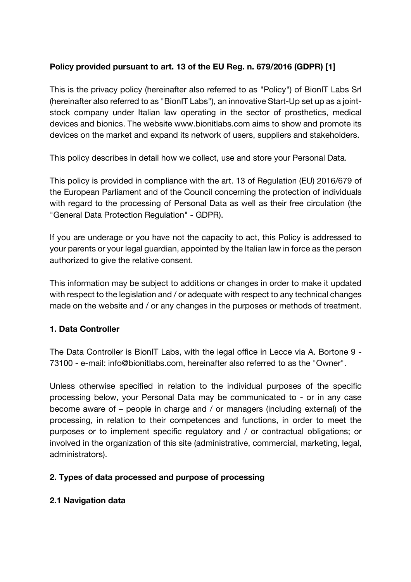# **Policy provided pursuant to art. 13 of the EU Reg. n. 679/2016 (GDPR) [1]**

This is the privacy policy (hereinafter also referred to as "Policy") of BionIT Labs Srl (hereinafter also referred to as "BionIT Labs"), an innovative Start-Up set up as a jointstock company under Italian law operating in the sector of prosthetics, medical devices and bionics. The website www.bionitlabs.com aims to show and promote its devices on the market and expand its network of users, suppliers and stakeholders.

This policy describes in detail how we collect, use and store your Personal Data.

This policy is provided in compliance with the art. 13 of Regulation (EU) 2016/679 of the European Parliament and of the Council concerning the protection of individuals with regard to the processing of Personal Data as well as their free circulation (the "General Data Protection Regulation" - GDPR).

If you are underage or you have not the capacity to act, this Policy is addressed to your parents or your legal guardian, appointed by the Italian law in force as the person authorized to give the relative consent.

This information may be subject to additions or changes in order to make it updated with respect to the legislation and / or adequate with respect to any technical changes made on the website and / or any changes in the purposes or methods of treatment.

# **1. Data Controller**

The Data Controller is BionIT Labs, with the legal office in Lecce via A. Bortone 9 - 73100 - e-mail: info@bionitlabs.com, hereinafter also referred to as the "Owner".

Unless otherwise specified in relation to the individual purposes of the specific processing below, your Personal Data may be communicated to - or in any case become aware of – people in charge and / or managers (including external) of the processing, in relation to their competences and functions, in order to meet the purposes or to implement specific regulatory and / or contractual obligations; or involved in the organization of this site (administrative, commercial, marketing, legal, administrators).

## **2. Types of data processed and purpose of processing**

## **2.1 Navigation data**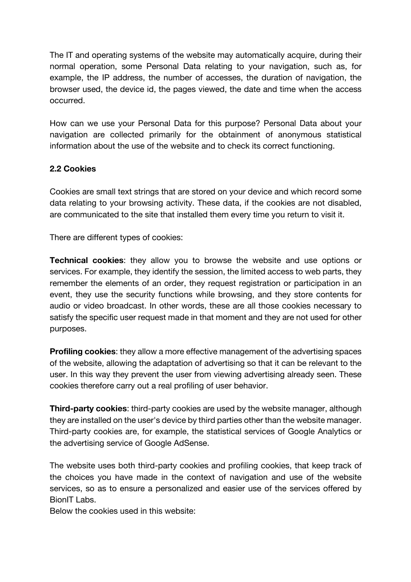The IT and operating systems of the website may automatically acquire, during their normal operation, some Personal Data relating to your navigation, such as, for example, the IP address, the number of accesses, the duration of navigation, the browser used, the device id, the pages viewed, the date and time when the access occurred.

How can we use your Personal Data for this purpose? Personal Data about your navigation are collected primarily for the obtainment of anonymous statistical information about the use of the website and to check its correct functioning.

## **2.2 Cookies**

Cookies are small text strings that are stored on your device and which record some data relating to your browsing activity. These data, if the cookies are not disabled, are communicated to the site that installed them every time you return to visit it.

There are different types of cookies:

**Technical cookies**: they allow you to browse the website and use options or services. For example, they identify the session, the limited access to web parts, they remember the elements of an order, they request registration or participation in an event, they use the security functions while browsing, and they store contents for audio or video broadcast. In other words, these are all those cookies necessary to satisfy the specific user request made in that moment and they are not used for other purposes.

**Profiling cookies**: they allow a more effective management of the advertising spaces of the website, allowing the adaptation of advertising so that it can be relevant to the user. In this way they prevent the user from viewing advertising already seen. These cookies therefore carry out a real profiling of user behavior.

**Third-party cookies**: third-party cookies are used by the website manager, although they are installed on the user's device by third parties other than the website manager. Third-party cookies are, for example, the statistical services of Google Analytics or the advertising service of Google AdSense.

The website uses both third-party cookies and profiling cookies, that keep track of the choices you have made in the context of navigation and use of the website services, so as to ensure a personalized and easier use of the services offered by BionIT Labs.

Below the cookies used in this website: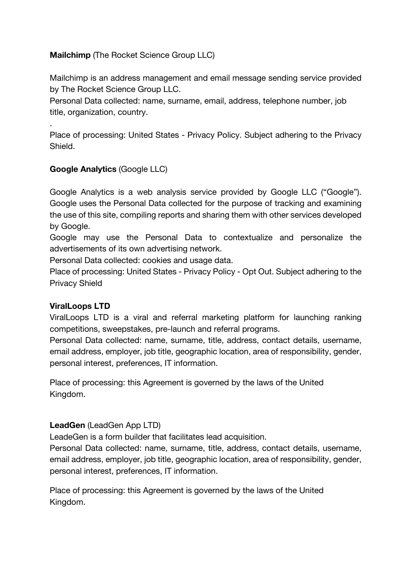## **Mailchimp** (The Rocket Science Group LLC)

Mailchimp is an address management and email message sending service provided by The Rocket Science Group LLC.

Personal Data collected: name, surname, email, address, telephone number, job title, organization, country.

Place of processing: United States - Privacy Policy. Subject adhering to the Privacy Shield.

## **Google Analytics** (Google LLC)

Google Analytics is a web analysis service provided by Google LLC ("Google"). Google uses the Personal Data collected for the purpose of tracking and examining the use of this site, compiling reports and sharing them with other services developed by Google.

Google may use the Personal Data to contextualize and personalize the advertisements of its own advertising network.

Personal Data collected: cookies and usage data.

Place of processing: United States - Privacy Policy - Opt Out. Subject adhering to the Privacy Shield

## **ViralLoops LTD**

.

ViralLoops LTD is a viral and referral marketing platform for launching ranking competitions, sweepstakes, pre-launch and referral programs.

Personal Data collected: name, surname, title, address, contact details, username, email address, employer, job title, geographic location, area of responsibility, gender, personal interest, preferences, IT information.

Place of processing: this Agreement is governed by the laws of the United Kingdom.

## **LeadGen** (LeadGen App LTD)

LeadeGen is a form builder that facilitates lead acquisition.

Personal Data collected: name, surname, title, address, contact details, username, email address, employer, job title, geographic location, area of responsibility, gender, personal interest, preferences, IT information.

Place of processing: this Agreement is governed by the laws of the United Kingdom.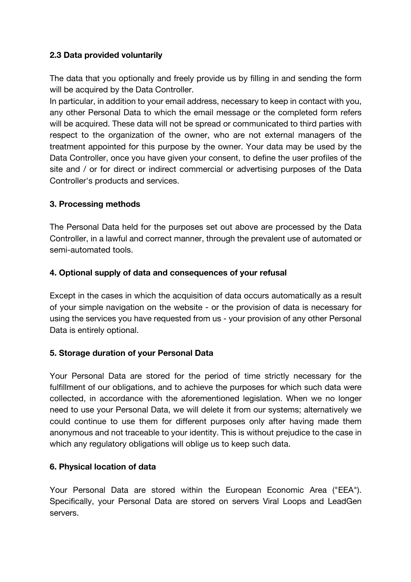## **2.3 Data provided voluntarily**

The data that you optionally and freely provide us by filling in and sending the form will be acquired by the Data Controller.

In particular, in addition to your email address, necessary to keep in contact with you, any other Personal Data to which the email message or the completed form refers will be acquired. These data will not be spread or communicated to third parties with respect to the organization of the owner, who are not external managers of the treatment appointed for this purpose by the owner. Your data may be used by the Data Controller, once you have given your consent, to define the user profiles of the site and / or for direct or indirect commercial or advertising purposes of the Data Controller's products and services.

## **3. Processing methods**

The Personal Data held for the purposes set out above are processed by the Data Controller, in a lawful and correct manner, through the prevalent use of automated or semi-automated tools.

## **4. Optional supply of data and consequences of your refusal**

Except in the cases in which the acquisition of data occurs automatically as a result of your simple navigation on the website - or the provision of data is necessary for using the services you have requested from us - your provision of any other Personal Data is entirely optional.

## **5. Storage duration of your Personal Data**

Your Personal Data are stored for the period of time strictly necessary for the fulfillment of our obligations, and to achieve the purposes for which such data were collected, in accordance with the aforementioned legislation. When we no longer need to use your Personal Data, we will delete it from our systems; alternatively we could continue to use them for different purposes only after having made them anonymous and not traceable to your identity. This is without prejudice to the case in which any regulatory obligations will oblige us to keep such data.

## **6. Physical location of data**

Your Personal Data are stored within the European Economic Area ("EEA"). Specifically, your Personal Data are stored on servers Viral Loops and LeadGen servers.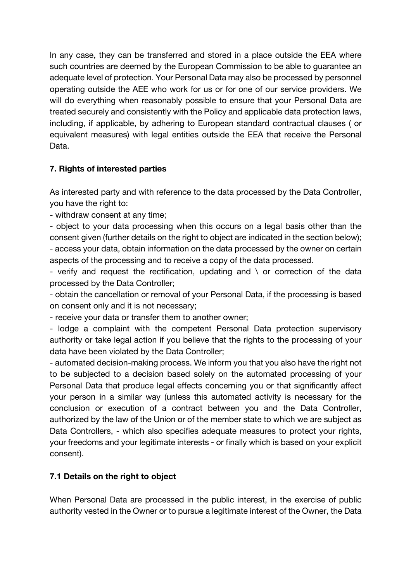In any case, they can be transferred and stored in a place outside the EEA where such countries are deemed by the European Commission to be able to guarantee an adequate level of protection. Your Personal Data may also be processed by personnel operating outside the AEE who work for us or for one of our service providers. We will do everything when reasonably possible to ensure that your Personal Data are treated securely and consistently with the Policy and applicable data protection laws, including, if applicable, by adhering to European standard contractual clauses ( or equivalent measures) with legal entities outside the EEA that receive the Personal Data.

# **7. Rights of interested parties**

As interested party and with reference to the data processed by the Data Controller, you have the right to:

- withdraw consent at any time;

- object to your data processing when this occurs on a legal basis other than the consent given (further details on the right to object are indicated in the section below); - access your data, obtain information on the data processed by the owner on certain aspects of the processing and to receive a copy of the data processed.

- verify and request the rectification, updating and  $\setminus$  or correction of the data processed by the Data Controller;

- obtain the cancellation or removal of your Personal Data, if the processing is based on consent only and it is not necessary;

- receive your data or transfer them to another owner;

- lodge a complaint with the competent Personal Data protection supervisory authority or take legal action if you believe that the rights to the processing of your data have been violated by the Data Controller;

- automated decision-making process. We inform you that you also have the right not to be subjected to a decision based solely on the automated processing of your Personal Data that produce legal effects concerning you or that significantly affect your person in a similar way (unless this automated activity is necessary for the conclusion or execution of a contract between you and the Data Controller, authorized by the law of the Union or of the member state to which we are subject as Data Controllers, - which also specifies adequate measures to protect your rights, your freedoms and your legitimate interests - or finally which is based on your explicit consent).

# **7.1 Details on the right to object**

When Personal Data are processed in the public interest, in the exercise of public authority vested in the Owner or to pursue a legitimate interest of the Owner, the Data